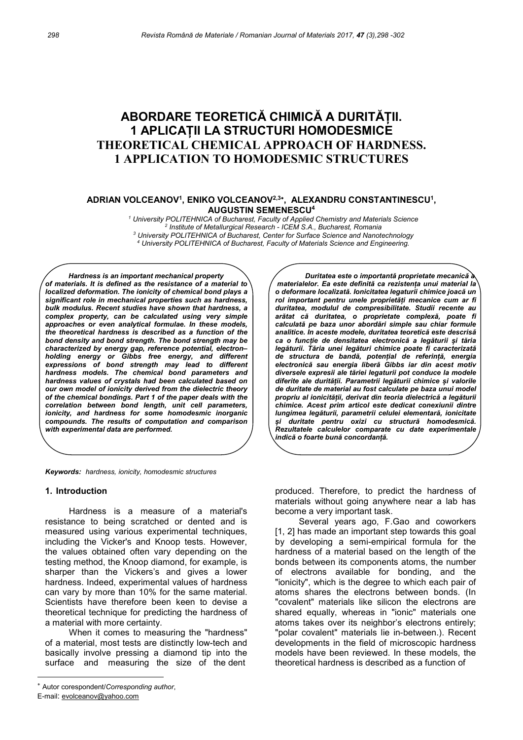# ABORDARE TEORETICĂ CHIMICĂ A DURITĂȚII. 1 APLICAȚII LA STRUCTURI HOMODESMICE THEORETICAL CHEMICAL APPROACH OF HARDNESS. 1 APPLICATION TO HOMODESMIC STRUCTURES

#### ADRIAN VOLCEANOV<sup>1</sup>, ENIKO VOLCEANOV<sup>2,3+</sup>, ALEXANDRU CONSTANTINESCU<sup>1</sup>, AUGUSTIN SEMENESCU<sup>4</sup>

<sup>1</sup> University POLITEHNICA of Bucharest, Faculty of Applied Chemistry and Materials Science <sup>2</sup> Institute of Metallurgical Research - ICEM S.A., Bucharest, Romania  $3$  University POLITEHNICA of Bucharest, Center for Surface Science and Nanotechnology 4 University POLITEHNICA of Bucharest, Faculty of Materials Science and Engineering.

Hardness is an important mechanical property of materials. It is defined as the resistance of a material to localized deformation. The ionicity of chemical bond plays a significant role in mechanical properties such as hardness, bulk modulus. Recent studies have shown that hardness, a complex property, can be calculated using very simple approaches or even analytical formulae. In these models, the theoretical hardness is described as a function of the bond density and bond strength. The bond strength may be characterized by energy gap, reference potential, electron– holding energy or Gibbs free energy, and different expressions of bond strength may lead to different hardness models. The chemical bond parameters and hardness values of crystals had been calculated based on our own model of ionicity derived from the dielectric theory of the chemical bondings. Part 1 of the paper deals with the correlation between bond length, unit cell parameters, ionicity, and hardness for some homodesmic inorganic compounds. The results of computation and comparison with experimental data are performed.

Keywords: hardness, ionicity, homodesmic structures

#### 1. Introduction

-

Hardness is a measure of a material's resistance to being scratched or dented and is measured using various experimental techniques, including the Vicker's and Knoop tests. However, the values obtained often vary depending on the testing method, the Knoop diamond, for example, is sharper than the Vickers's and gives a lower hardness. Indeed, experimental values of hardness can vary by more than 10% for the same material. Scientists have therefore been keen to devise a theoretical technique for predicting the hardness of a material with more certainty.

When it comes to measuring the "hardness" of a material, most tests are distinctly low-tech and basically involve pressing a diamond tip into the surface and measuring the size of the dent

E-mail: evolceanov@yahoo.com

Duritatea este o importantă proprietate mecanică materialelor. Ea este definită ca rezistența unui material la o deformare localizată. Ionicitatea legaturii chimice joacă un rol important pentru unele proprietăți mecanice cum ar fi duritatea, modulul de compresibilitate. Studii recente au arătat că duritatea, o proprietate complexă, poate fi calculată pe baza unor abordări simple sau chiar formule analitice. In aceste modele, duritatea teoretică este descrisă ca o funcție de densitatea electronică a legăturii și tăria legăturii. Tăria unei legături chimice poate fi caracterizată de structura de bandă, potențial de referință, energia electronică sau energia liberă Gibbs iar din acest motiv diversele expresii ale tăriei legaturii pot conduce la modele diferite ale durității. Parametrii legăturii chimice și valorile de duritate de material au fost calculate pe baza unui model propriu al ionicității, derivat din teoria dielectrică a legăturii chimice. Acest prim articol este dedicat conexiunii dintre lungimea legăturii, parametrii celulei elementară, ionicitate și duritate pentru oxizi cu structură homodesmică. Rezultatele calculelor comparate cu date experimentale indică o foarte bună concordanță.

 produced. Therefore, to predict the hardness of materials without going anywhere near a lab has become a very important task.

Several years ago, F.Gao and coworkers [1, 2] has made an important step towards this goal by developing a semi-empirical formula for the hardness of a material based on the length of the bonds between its components atoms, the number of electrons available for bonding, and the "ionicity", which is the degree to which each pair of atoms shares the electrons between bonds. (In "covalent" materials like silicon the electrons are shared equally, whereas in "ionic" materials one atoms takes over its neighbor's electrons entirely; "polar covalent" materials lie in-between.). Recent developments in the field of microscopic hardness models have been reviewed. In these models, the theoretical hardness is described as a function of

Autor corespondent/Corresponding author,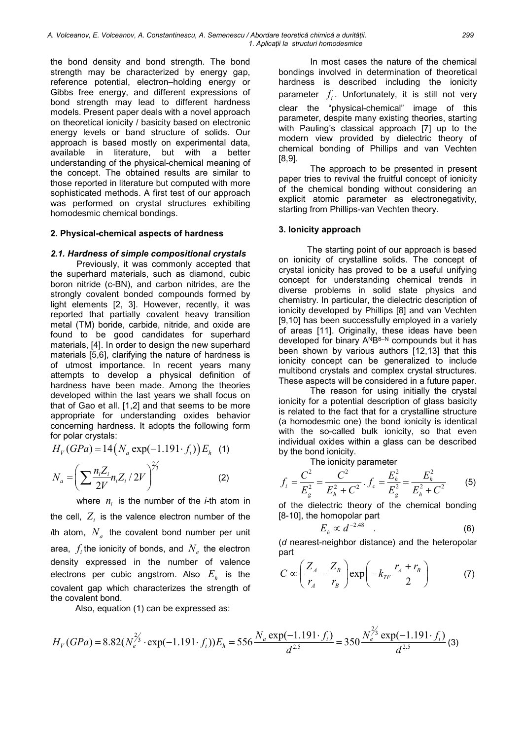the bond density and bond strength. The bond strength may be characterized by energy gap, reference potential, electron–holding energy or Gibbs free energy, and different expressions of bond strength may lead to different hardness models. Present paper deals with a novel approach on theoretical ionicity / basicity based on electronic energy levels or band structure of solids. Our approach is based mostly on experimental data, available in literature, but with a better understanding of the physical-chemical meaning of the concept. The obtained results are similar to those reported in literature but computed with more sophisticated methods. A first test of our approach was performed on crystal structures exhibiting homodesmic chemical bondings.

### 2. Physical-chemical aspects of hardness

### 2.1. Hardness of simple compositional crystals

Previously, it was commonly accepted that the superhard materials, such as diamond, cubic boron nitride (c-BN), and carbon nitrides, are the strongly covalent bonded compounds formed by light elements [2, 3]. However, recently, it was reported that partially covalent heavy transition metal (TM) boride, carbide, nitride, and oxide are found to be good candidates for superhard materials, [4]. In order to design the new superhard materials [5,6], clarifying the nature of hardness is of utmost importance. In recent years many attempts to develop a physical definition of hardness have been made. Among the theories developed within the last years we shall focus on that of Gao et all. [1,2] and that seems to be more appropriate for understanding oxides behavior concerning hardness. It adopts the following form for polar crystals:

$$
H_V(GPa) = 14\left(N_a \exp(-1.191 \cdot f_i)\right) E_h \quad (1)
$$

$$
N_a = \left(\sum \frac{n_i Z_i}{2V} n_i Z_i / 2V\right)^{2/3} \quad (2)
$$

where  $n_i$  is the number of the *i*-th atom in

the cell,  $Z_i$  is the valence electron number of the *i*th atom,  $N_{a}^{\phantom{\dag}}$  the covalent bond number per unit area,  $\ f_i$ the ionicity of bonds, and  $\ N_e$  the electron density expressed in the number of valence electrons per cubic angstrom. Also  $E_{_\hbar}$  is the covalent gap which characterizes the strength of the covalent bond.

Also, equation (1) can be expressed as:

In most cases the nature of the chemical bondings involved in determination of theoretical hardness is described including the ionicity parameter  $f_i$ . Unfortunately, it is still not very clear the "physical-chemical" image of this parameter, despite many existing theories, starting with Pauling's classical approach [7] up to the modern view provided by dielectric theory of chemical bonding of Phillips and van Vechten [8,9].

The approach to be presented in present paper tries to revival the fruitful concept of ionicity of the chemical bonding without considering an explicit atomic parameter as electronegativity, starting from Phillips-van Vechten theory.

### 3. Ionicity approach

The starting point of our approach is based on ionicity of crystalline solids. The concept of crystal ionicity has proved to be a useful unifying concept for understanding chemical trends in diverse problems in solid state physics and chemistry. In particular, the dielectric description of ionicity developed by Phillips [8] and van Vechten [9,10] has been successfully employed in a variety of areas [11]. Originally, these ideas have been developed for binary ANB8-N compounds but it has been shown by various authors [12,13] that this ionicity concept can be generalized to include multibond crystals and complex crystal structures. These aspects will be considered in a future paper.

 The reason for using initially the crystal ionicity for a potential description of glass basicity is related to the fact that for a crystalline structure (a homodesmic one) the bond ionicity is identical with the so-called bulk ionicity, so that even individual oxides within a glass can be described by the bond ionicity.

The ionicity parameter

$$
f_i = \frac{C^2}{E_g^2} = \frac{C^2}{E_h^2 + C^2} \cdot f_c = \frac{E_h^2}{E_g^2} = \frac{E_h^2}{E_h^2 + C^2} \qquad (5)
$$

of the dielectric theory of the chemical bonding [8-10], the homopolar part

$$
E_h \propto d^{-2.48} \quad . \tag{6}
$$

(d nearest-neighbor distance) and the heteropolar part

$$
C \propto \left(\frac{Z_A}{r_A} - \frac{Z_B}{r_B}\right) \exp\left(-k_{TF} \frac{r_A + r_B}{2}\right) \tag{7}
$$

$$
H_V(GPa) = 8.82(N_e^{\frac{2}{3}} \cdot \exp(-1.191 \cdot f_i))E_h = 556 \frac{N_a \exp(-1.191 \cdot f_i)}{d^{2.5}} = 350 \frac{N_e^{\frac{2}{3}} \exp(-1.191 \cdot f_i)}{d^{2.5}}(3)
$$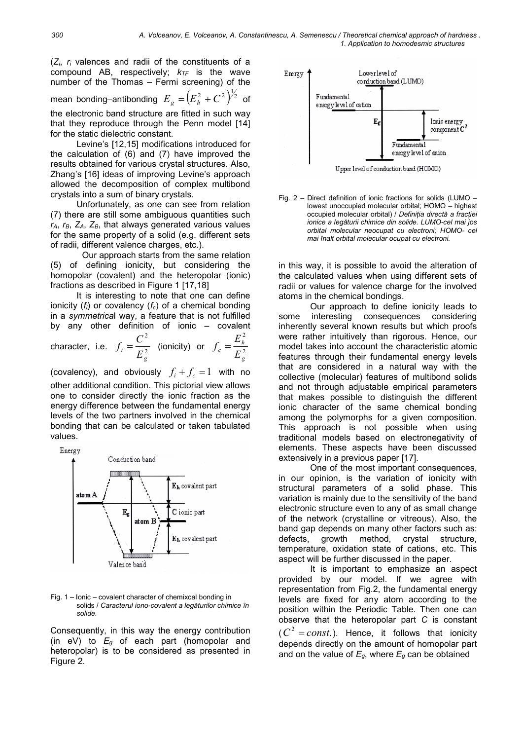$(Z_i, r_i)$  valences and radii of the constituents of a compound AB, respectively;  $k_{TF}$  is the wave number of the Thomas – Fermi screening) of the mean bonding–antibonding  $E_{g} = (E_{h}^{2} + C^{2})^{\frac{1}{2}}$  of  $\left[\begin{array}{c} E_{h} \end{array}\right]$ the electronic band structure are fitted in such way that they reproduce through the Penn model [14] for the static dielectric constant.

Levine's [12,15] modifications introduced for the calculation of (6) and (7) have improved the results obtained for various crystal structures. Also, Zhang's [16] ideas of improving Levine's approach allowed the decomposition of complex multibond crystals into a sum of binary crystals.

Unfortunately, as one can see from relation (7) there are still some ambiguous quantities such  $r_A$ ,  $r_B$ ,  $Z_A$ ,  $Z_B$ , that always generated various values for the same property of a solid (e.g. different sets of radii, different valence charges, etc.).

 Our approach starts from the same relation (5) of defining ionicity, but considering the homopolar (covalent) and the heteropolar (ionic) fractions as described in Figure 1 [17,18]

It is interesting to note that one can define ionicity  $(f_i)$  or covalency  $(f_c)$  of a chemical bonding in a symmetrical way, a feature that is not fulfilled by any other definition of ionic – covalent

character, i.e. 
$$
f_i = \frac{C^2}{E_g^2}
$$
 (ionicity) or  $f_c = \frac{E_h^2}{E_g^2}$ 

(covalency), and obviously  $f_i + f_c = 1$  with no other additional condition. This pictorial view allows one to consider directly the ionic fraction as the energy difference between the fundamental energy levels of the two partners involved in the chemical bonding that can be calculated or taken tabulated values.



#### Fig. 1 – Ionic – covalent character of chemixcal bonding in solids / Caracterul iono-covalent a legăturilor chimice în solide.

Consequently, in this way the energy contribution (in eV) to  $E_q$  of each part (homopolar and heteropolar) is to be considered as presented in Figure 2.



Fig. 2 – Direct definition of ionic fractions for solids (LUMO – lowest unoccupied molecular orbital; HOMO – highest occupied molecular orbital) / Definiția directă a fracției ionice a legăturii chimice din solide. LUMO-cel mai jos orbital molecular neocupat cu electroni; HOMO- cel mai înalt orbital molecular ocupat cu electroni.

in this way, it is possible to avoid the alteration of the calculated values when using different sets of radii or values for valence charge for the involved atoms in the chemical bondings.

Our approach to define ionicity leads to some interesting consequences considering inherently several known results but which proofs were rather intuitively than rigorous. Hence, our model takes into account the characteristic atomic features through their fundamental energy levels that are considered in a natural way with the collective (molecular) features of multibond solids and not through adjustable empirical parameters that makes possible to distinguish the different ionic character of the same chemical bonding among the polymorphs for a given composition. This approach is not possible when using traditional models based on electronegativity of elements. These aspects have been discussed extensively in a previous paper [17].

One of the most important consequences, in our opinion, is the variation of ionicity with structural parameters of a solid phase. This variation is mainly due to the sensitivity of the band electronic structure even to any of as small change of the network (crystalline or vitreous). Also, the band gap depends on many other factors such as: defects, growth method, crystal structure, temperature, oxidation state of cations, etc. This aspect will be further discussed in the paper.

 It is important to emphasize an aspect provided by our model. If we agree with representation from Fig.2, the fundamental energy levels are fixed for any atom according to the position within the Periodic Table. Then one can observe that the heteropolar part C is constant  $(C^2 = const.)$ . Hence, it follows that ionicity depends directly on the amount of homopolar part and on the value of  $E_g$ , where  $E_g$  can be obtained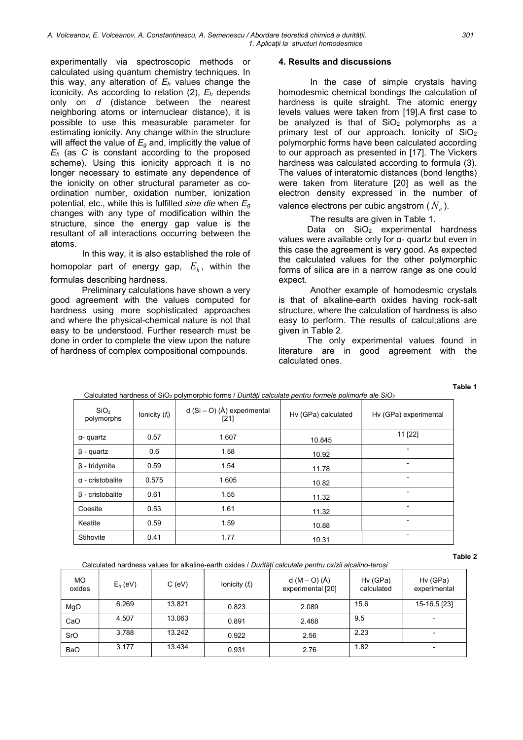experimentally via spectroscopic methods or calculated using quantum chemistry techniques. In this way, any alteration of  $E<sub>h</sub>$  values change the iconicity. As according to relation  $(2)$ ,  $E_h$  depends only on d (distance between the nearest neighboring atoms or internuclear distance), it is possible to use this measurable parameter for estimating ionicity. Any change within the structure will affect the value of  $E<sub>q</sub>$  and, implicitly the value of  $E_h$  (as C is constant according to the proposed scheme). Using this ionicity approach it is no longer necessary to estimate any dependence of the ionicity on other structural parameter as coordination number, oxidation number, ionization potential, etc., while this is fulfilled sine die when  $E_q$ changes with any type of modification within the structure, since the energy gap value is the resultant of all interactions occurring between the atoms.

In this way, it is also established the role of homopolar part of energy gap,  $E_{_\mathit{h}}$ , within the formulas describing hardness.

 Preliminary calculations have shown a very good agreement with the values computed for hardness using more sophisticated approaches and where the physical-chemical nature is not that easy to be understood. Further research must be done in order to complete the view upon the nature of hardness of complex compositional compounds.

### 4. Results and discussions

In the case of simple crystals having homodesmic chemical bondings the calculation of hardness is quite straight. The atomic energy levels values were taken from [19].A first case to be analyzed is that of  $SiO<sub>2</sub>$  polymorphs as a primary test of our approach. Ionicity of SiO<sup>2</sup> polymorphic forms have been calculated according to our approach as presented in [17]. The Vickers hardness was calculated according to formula (3). The values of interatomic distances (bond lengths) were taken from literature [20] as well as the electron density expressed in the number of valence electrons per cubic angstrom (  $N_{_e}$  ).

The results are given in Table 1.

Data on  $SiO<sub>2</sub>$  experimental hardness values were available only for α- quartz but even in this case the agreement is very good. As expected the calculated values for the other polymorphic forms of silica are in a narrow range as one could expect.

 Another example of homodesmic crystals is that of alkaline-earth oxides having rock-salt structure, where the calculation of hardness is also easy to perform. The results of calcul;ations are given in Table 2.

The only experimental values found in literature are in good agreement with the calculated ones.

Table 1

| SiO <sub>2</sub><br>polymorphs | lonicity $(f_i)$ | d $(Si - O)$ (Å) experimental<br>$[21]$ | Hv (GPa) calculated | Hv (GPa) experimental |
|--------------------------------|------------------|-----------------------------------------|---------------------|-----------------------|
| $\alpha$ - quartz              | 0.57             | 1.607                                   | 10.845              | 11 [22]               |
| $\beta$ - quartz               | 0.6              | 1.58                                    | 10.92               | -                     |
| $\beta$ - tridymite            | 0.59             | 1.54                                    | 11.78               | -                     |
| $\alpha$ - cristobalite        | 0.575            | 1.605                                   | 10.82               | ٠                     |
| $\beta$ - cristobalite         | 0.61             | 1.55                                    | 11.32               | ٠                     |
| Coesite                        | 0.53             | 1.61                                    | 11.32               | -                     |
| Keatite                        | 0.59             | 1.59                                    | 10.88               | ٠                     |
| Stihovite                      | 0.41             | 1.77                                    | 10.31               | -                     |

Calculated hardness of  $SiO<sub>2</sub>$  polymorphic forms / Durități calculate pentru formele polimorfe ale  $SiO<sub>2</sub>$ 

Calculated hardness values for alkaline-earth oxides / Durități calculate pentru oxizii alcalino-teroși

Table 2

| <b>MO</b><br>oxides | $E_h$ (eV) | $C$ (eV) | Ionicity $(f_i)$ | $d (M - O) (\AA)$<br>experimental [20] | Hv (GPa)<br>calculated | Hv (GPa)<br>experimental |  |  |
|---------------------|------------|----------|------------------|----------------------------------------|------------------------|--------------------------|--|--|
| MgO                 | 6.269      | 13.821   | 0.823            | 2.089                                  | 15.6                   | 15-16.5 [23]             |  |  |
| CaO                 | 4.507      | 13.063   | 0.891            | 2.468                                  | 9.5                    |                          |  |  |
| SrO                 | 3.788      | 13.242   | 0.922            | 2.56                                   | 2.23                   |                          |  |  |
| <b>BaO</b>          | 3.177      | 13.434   | 0.931            | 2.76                                   | 1.82                   |                          |  |  |